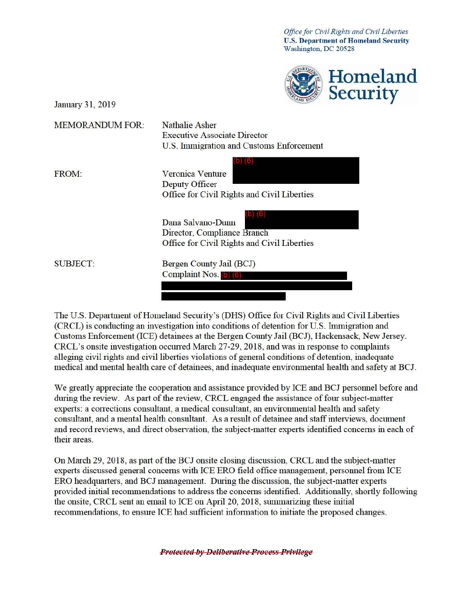*Office for Civil Rights and Civil Liberties* **U.S. Department of Homeland Secmity**  Washington, DC 20528



| <b>MEMORANDUM FOR:</b> | <b>Nathalie Asher</b>                       |
|------------------------|---------------------------------------------|
|                        | <b>Executive Associate Director</b>         |
|                        | U.S. Immigration and Customs Enforcement    |
|                        |                                             |
| <b>FROM:</b>           | <b>Veronica Venture</b>                     |
|                        | Deputy Officer                              |
|                        | Office for Civil Rights and Civil Liberties |
|                        |                                             |
|                        | Dana Salvano-Dunn                           |
|                        | Director, Compliance Branch                 |
|                        | Office for Civil Rights and Civil Liberties |
| <b>SUBJECT:</b>        | Bergen County Jail (BCJ)                    |
|                        | Complaint Nos. (b) (6)                      |
|                        |                                             |
|                        |                                             |

The U.S. Department of Homeland Security's (DHS) Office for Civil Rights and Civil Liberties (CRCL) is conducting an investigation into conditions of detention for U.S. Immigration and Customs Enforcement (ICE) detainees at the Bergen County Jail (BCJ), Hackensack, New Jersey. CRCL's onsite investigation occurred March 27-29, 2018, and was in response to complaints alleging civil rights and civil liberties violations of general conditions of detention, inadequate medical and mental health care of detainees, and inadequate environmental health and safety at BCJ.

We greatly appreciate the cooperation and assistance provided by ICE and BCJ personnel before and during the review. As part of the review, CRCL engaged the assistance of four subject-matter experts: a corrections consultant, a medical consultant, an environmental health and safety consultant, and a mental health consultant. As a result of detainee and staff interviews, document and record reviews, and direct observation, the subject-matter experts identified concerns in each of their areas.

On March 29, 2018, as part of the BCJ onsite closing discussion, CRCL and the subject-matter experts discussed general concerns with ICE ERO field office management, personnel from ICE ERO headquarters, and BCJ management. During the discussion, the subject-matter experts provided initial recommendations to address the concerns identified. Additionally, shortly following the onsite, CRCL sent an email to ICE on April 20, 2018, summarizing these initial recommendations, to ensure ICE had sufficient information to initiate the proposed changes.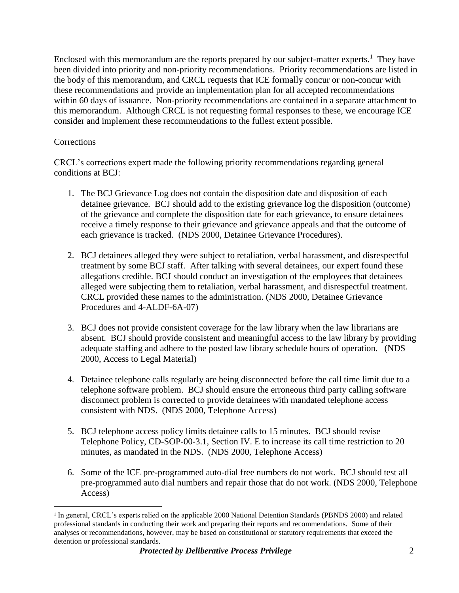Enclosed with this memorandum are the reports prepared by our subject-matter experts.<sup>1</sup> They have this memorandum. Although CRCL is not requesting formal responses to these, we encourage ICE been divided into priority and non-priority recommendations. Priority recommendations are listed in the body of this memorandum, and CRCL requests that ICE formally concur or non-concur with these recommendations and provide an implementation plan for all accepted recommendations within 60 days of issuance. Non-priority recommendations are contained in a separate attachment to consider and implement these recommendations to the fullest extent possible.

## **Corrections**

 $\overline{a}$ 

CRCL's corrections expert made the following priority recommendations regarding general conditions at BCJ:

- 1. The BCJ Grievance Log does not contain the disposition date and disposition of each detainee grievance. BCJ should add to the existing grievance log the disposition (outcome) of the grievance and complete the disposition date for each grievance, to ensure detainees receive a timely response to their grievance and grievance appeals and that the outcome of each grievance is tracked. (NDS 2000, Detainee Grievance Procedures).
- 2. BCJ detainees alleged they were subject to retaliation, verbal harassment, and disrespectful treatment by some BCJ staff. After talking with several detainees, our expert found these allegations credible. BCJ should conduct an investigation of the employees that detainees alleged were subjecting them to retaliation, verbal harassment, and disrespectful treatment. CRCL provided these names to the administration. (NDS 2000, Detainee Grievance Procedures and 4-ALDF-6A-07)
- 3. BCJ does not provide consistent coverage for the law library when the law librarians are absent. BCJ should provide consistent and meaningful access to the law library by providing adequate staffing and adhere to the posted law library schedule hours of operation. (NDS 2000, Access to Legal Material)
- 4. Detainee telephone calls regularly are being disconnected before the call time limit due to a telephone software problem. BCJ should ensure the erroneous third party calling software disconnect problem is corrected to provide detainees with mandated telephone access consistent with NDS. (NDS 2000, Telephone Access)
- 5. BCJ telephone access policy limits detainee calls to 15 minutes. BCJ should revise Telephone Policy, CD-SOP-00-3.1, Section IV. E to increase its call time restriction to 20 minutes, as mandated in the NDS. (NDS 2000, Telephone Access)
- 6. Some of the ICE pre-programmed auto-dial free numbers do not work. BCJ should test all pre-programmed auto dial numbers and repair those that do not work. (NDS 2000, Telephone Access)

<sup>&</sup>lt;sup>1</sup> In general, CRCL's experts relied on the applicable 2000 National Detention Standards (PBNDS 2000) and related professional standards in conducting their work and preparing their reports and recommendations. Some of their analyses or recommendations, however, may be based on constitutional or statutory requirements that exceed the detention or professional standards.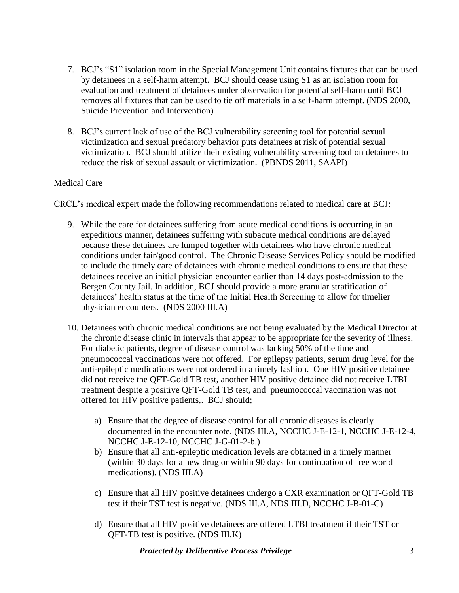- 7. BCJ's "S1" isolation room in the Special Management Unit contains fixtures that can be used by detainees in a self-harm attempt. BCJ should cease using S1 as an isolation room for evaluation and treatment of detainees under observation for potential self-harm until BCJ removes all fixtures that can be used to tie off materials in a self-harm attempt. (NDS 2000, Suicide Prevention and Intervention)
- 8. BCJ's current lack of use of the BCJ vulnerability screening tool for potential sexual victimization and sexual predatory behavior puts detainees at risk of potential sexual victimization. BCJ should utilize their existing vulnerability screening tool on detainees to reduce the risk of sexual assault or victimization. (PBNDS 2011, SAAPI)

## Medical Care

CRCL's medical expert made the following recommendations related to medical care at BCJ:

- physician encounters. (NDS 2000 III.A) 9. While the care for detainees suffering from acute medical conditions is occurring in an expeditious manner, detainees suffering with subacute medical conditions are delayed because these detainees are lumped together with detainees who have chronic medical conditions under fair/good control. The Chronic Disease Services Policy should be modified to include the timely care of detainees with chronic medical conditions to ensure that these detainees receive an initial physician encounter earlier than 14 days post-admission to the Bergen County Jail. In addition, BCJ should provide a more granular stratification of detainees' health status at the time of the Initial Health Screening to allow for timelier
- offered for HIV positive patients,. BCJ should; 10. Detainees with chronic medical conditions are not being evaluated by the Medical Director at the chronic disease clinic in intervals that appear to be appropriate for the severity of illness. For diabetic patients, degree of disease control was lacking 50% of the time and pneumococcal vaccinations were not offered. For epilepsy patients, serum drug level for the anti-epileptic medications were not ordered in a timely fashion. One HIV positive detainee did not receive the QFT-Gold TB test, another HIV positive detainee did not receive LTBI treatment despite a positive QFT-Gold TB test, and pneumococcal vaccination was not
	- a) Ensure that the degree of disease control for all chronic diseases is clearly documented in the encounter note. (NDS III.A, NCCHC J-E-12-1, NCCHC J-E-12-4, NCCHC J-E-12-10, NCCHC J-G-01-2-b.)
	- b) Ensure that all anti-epileptic medication levels are obtained in a timely manner (within 30 days for a new drug or within 90 days for continuation of free world medications). (NDS III.A)
	- test if their TST test is negative. (NDS III.A, NDS III.D, NCCHC J-B-01-C) c) Ensure that all HIV positive detainees undergo a CXR examination or QFT-Gold TB
	- d) Ensure that all HIV positive detainees are offered LTBI treatment if their TST or QFT-TB test is positive. (NDS III.K)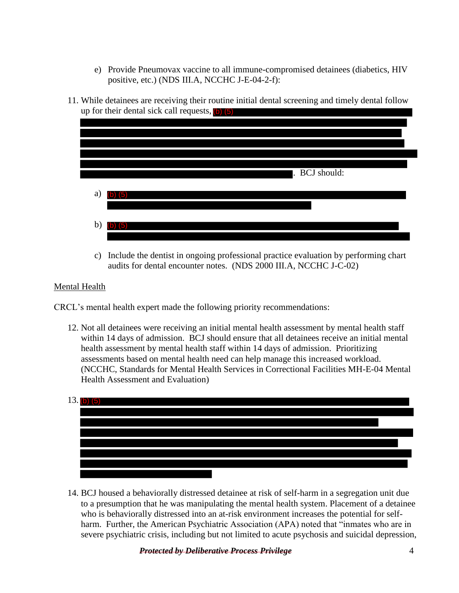- e) Provide Pneumovax vaccine to all immune-compromised detainees (diabetics, HIV positive, etc.) (NDS III.A, NCCHC J-E-04-2-f):
- 11. While detainees are receiving their routine initial dental screening and timely dental follow up for their dental sick call requests, (b) (5)



 audits for dental encounter notes. (NDS 2000 III.A, NCCHC J-C-02) c) Include the dentist in ongoing professional practice evaluation by performing chart

## Mental Health

CRCL's mental health expert made the following priority recommendations:

 12. Not all detainees were receiving an initial mental health assessment by mental health staff within 14 days of admission. BCJ should ensure that all detainees receive an initial mental health assessment by mental health staff within 14 days of admission. Prioritizing assessments based on mental health need can help manage this increased workload. (NCCHC, Standards for Mental Health Services in Correctional Facilities MH-E-04 Mental Health Assessment and Evaluation)



14. BCJ housed a behaviorally distressed detainee at risk of self-harm in a segregation unit due to a presumption that he was manipulating the mental health system. Placement of a detainee who is behaviorally distressed into an at-risk environment increases the potential for selfharm. Further, the American Psychiatric Association (APA) noted that "inmates who are in severe psychiatric crisis, including but not limited to acute psychosis and suicidal depression,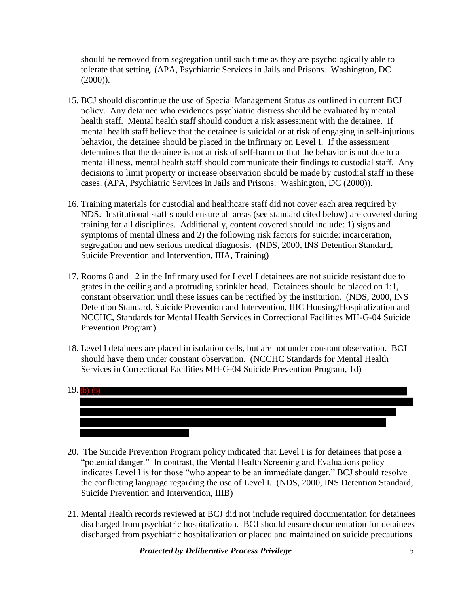should be removed from segregation until such time as they are psychologically able to tolerate that setting. (APA, Psychiatric Services in Jails and Prisons. Washington, DC (2000)).

- 15. BCJ should discontinue the use of Special Management Status as outlined in current BCJ policy. Any detainee who evidences psychiatric distress should be evaluated by mental health staff. Mental health staff should conduct a risk assessment with the detainee. If mental health staff believe that the detainee is suicidal or at risk of engaging in self-injurious behavior, the detainee should be placed in the Infirmary on Level I. If the assessment determines that the detainee is not at risk of self-harm or that the behavior is not due to a mental illness, mental health staff should communicate their findings to custodial staff. Any decisions to limit property or increase observation should be made by custodial staff in these cases. (APA, Psychiatric Services in Jails and Prisons. Washington, DC (2000)).
- Suicide Prevention and Intervention, IIIA, Training) 16. Training materials for custodial and healthcare staff did not cover each area required by NDS. Institutional staff should ensure all areas (see standard cited below) are covered during training for all disciplines. Additionally, content covered should include: 1) signs and symptoms of mental illness and 2) the following risk factors for suicide: incarceration, segregation and new serious medical diagnosis. (NDS, 2000, INS Detention Standard,
- constant observation until these issues can be rectified by the institution. (NDS, 2000, INS 17. Rooms 8 and 12 in the Infirmary used for Level I detainees are not suicide resistant due to grates in the ceiling and a protruding sprinkler head. Detainees should be placed on 1:1, Detention Standard, Suicide Prevention and Intervention, IIIC Housing/Hospitalization and NCCHC, Standards for Mental Health Services in Correctional Facilities MH-G-04 Suicide Prevention Program)
- should have them under constant observation. (NCCHC Standards for Mental Health 18. Level I detainees are placed in isolation cells, but are not under constant observation. BCJ Services in Correctional Facilities MH-G-04 Suicide Prevention Program, 1d)



- "potential danger." In contrast, the Mental Health Screening and Evaluations policy 20. The Suicide Prevention Program policy indicated that Level I is for detainees that pose a indicates Level I is for those "who appear to be an immediate danger." BCJ should resolve the conflicting language regarding the use of Level I. (NDS, 2000, INS Detention Standard, Suicide Prevention and Intervention, IIIB)
- 21. Mental Health records reviewed at BCJ did not include required documentation for detainees discharged from psychiatric hospitalization. BCJ should ensure documentation for detainees discharged from psychiatric hospitalization or placed and maintained on suicide precautions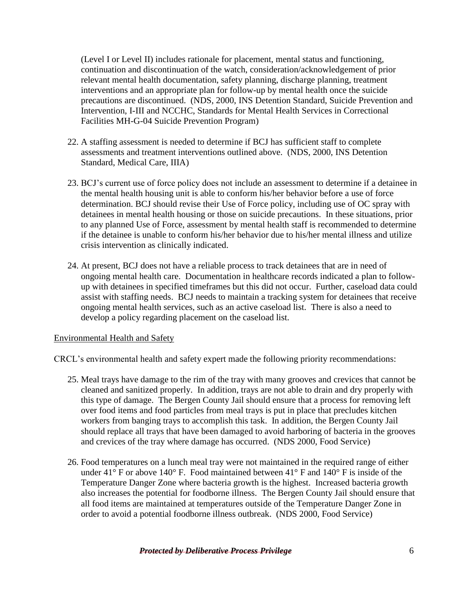(Level I or Level II) includes rationale for placement, mental status and functioning, continuation and discontinuation of the watch, consideration/acknowledgement of prior relevant mental health documentation, safety planning, discharge planning, treatment interventions and an appropriate plan for follow-up by mental health once the suicide precautions are discontinued. (NDS, 2000, INS Detention Standard, Suicide Prevention and Intervention, I-III and NCCHC, Standards for Mental Health Services in Correctional Facilities MH-G-04 Suicide Prevention Program)

- 22. A staffing assessment is needed to determine if BCJ has sufficient staff to complete assessments and treatment interventions outlined above. (NDS, 2000, INS Detention Standard, Medical Care, IIIA)
- the mental health housing unit is able to conform his/her behavior before a use of force 23. BCJ's current use of force policy does not include an assessment to determine if a detainee in determination. BCJ should revise their Use of Force policy, including use of OC spray with detainees in mental health housing or those on suicide precautions. In these situations, prior to any planned Use of Force, assessment by mental health staff is recommended to determine if the detainee is unable to conform his/her behavior due to his/her mental illness and utilize crisis intervention as clinically indicated.
- 24. At present, BCJ does not have a reliable process to track detainees that are in need of ongoing mental health care. Documentation in healthcare records indicated a plan to followup with detainees in specified timeframes but this did not occur. Further, caseload data could assist with staffing needs. BCJ needs to maintain a tracking system for detainees that receive ongoing mental health services, such as an active caseload list. There is also a need to develop a policy regarding placement on the caseload list.

## Environmental Health and Safety

CRCL's environmental health and safety expert made the following priority recommendations:

- 25. Meal trays have damage to the rim of the tray with many grooves and crevices that cannot be cleaned and sanitized properly. In addition, trays are not able to drain and dry properly with this type of damage. The Bergen County Jail should ensure that a process for removing left over food items and food particles from meal trays is put in place that precludes kitchen workers from banging trays to accomplish this task. In addition, the Bergen County Jail should replace all trays that have been damaged to avoid harboring of bacteria in the grooves and crevices of the tray where damage has occurred. (NDS 2000, Food Service)
- 26. Food temperatures on a lunch meal tray were not maintained in the required range of either under  $41^{\circ}$  F or above  $140^{\circ}$  F. Food maintained between  $41^{\circ}$  F and  $140^{\circ}$  F is inside of the Temperature Danger Zone where bacteria growth is the highest. Increased bacteria growth also increases the potential for foodborne illness. The Bergen County Jail should ensure that all food items are maintained at temperatures outside of the Temperature Danger Zone in order to avoid a potential foodborne illness outbreak. (NDS 2000, Food Service)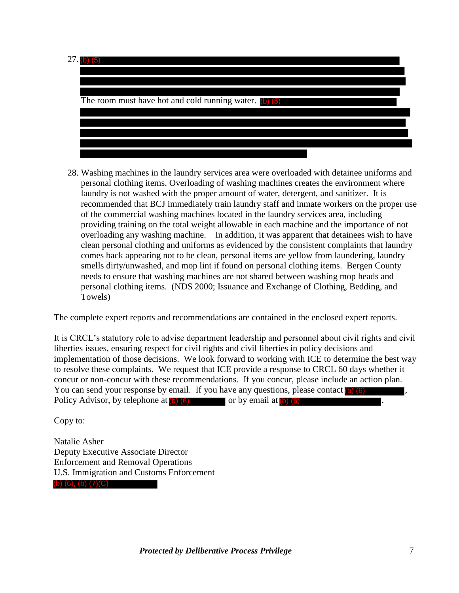

 laundry is not washed with the proper amount of water, detergent, and sanitizer. It is 28. Washing machines in the laundry services area were overloaded with detainee uniforms and personal clothing items. Overloading of washing machines creates the environment where recommended that BCJ immediately train laundry staff and inmate workers on the proper use of the commercial washing machines located in the laundry services area, including providing training on the total weight allowable in each machine and the importance of not overloading any washing machine. In addition, it was apparent that detainees wish to have clean personal clothing and uniforms as evidenced by the consistent complaints that laundry comes back appearing not to be clean, personal items are yellow from laundering, laundry smells dirty/unwashed, and mop lint if found on personal clothing items. Bergen County needs to ensure that washing machines are not shared between washing mop heads and personal clothing items. (NDS 2000; Issuance and Exchange of Clothing, Bedding, and Towels)

The complete expert reports and recommendations are contained in the enclosed expert reports.

It is CRCL's statutory role to advise department leadership and personnel about civil rights and civil liberties issues, ensuring respect for civil rights and civil liberties in policy decisions and implementation of those decisions. We look forward to working with ICE to determine the best way to resolve these complaints. We request that ICE provide a response to CRCL 60 days whether it concur or non-concur with these recommendations. If you concur, please include an action plan. You can send your response by email. If you have any questions, please contact (b) (6) Policy Advisor, by telephone at (b) (6) or by email at (b) (6) or by  $\blacksquare$ .

Copy to:

Natalie Asher Deputy Executive Associate Director Enforcement and Removal Operations U.S. Immigration and Customs Enforcement (b) (6), (b) (7)(C)